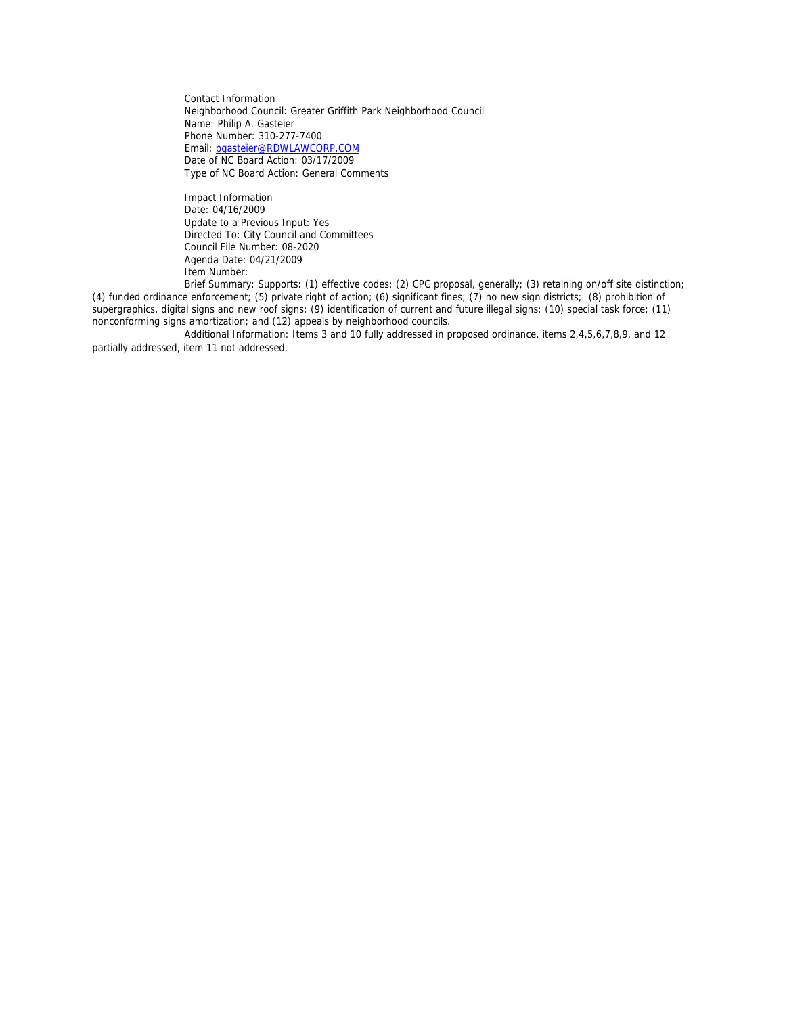Contact Information Neighborhood Council: Greater Griffith Park Neighborhood Council Name: Philip A. Gasteier Phone Number: 310-277-7400 Email: pgasteier@RDWLAWCORP.COM Date of NC Board Action: 03/17/2009 Type of NC Board Action: General Comments

 Impact Information Date: 04/16/2009 Update to a Previous Input: Yes Directed To: City Council and Committees Council File Number: 08-2020 Agenda Date: 04/21/2009 Item Number:

 Brief Summary: Supports: (1) effective codes; (2) CPC proposal, generally; (3) retaining on/off site distinction; (4) funded ordinance enforcement; (5) private right of action; (6) significant fines; (7) no new sign districts; (8) prohibition of supergraphics, digital signs and new roof signs; (9) identification of current and future illegal signs; (10) special task force; (11) nonconforming signs amortization; and (12) appeals by neighborhood councils.

 Additional Information: Items 3 and 10 fully addressed in proposed ordinance, items 2,4,5,6,7,8,9, and 12 partially addressed, item 11 not addressed.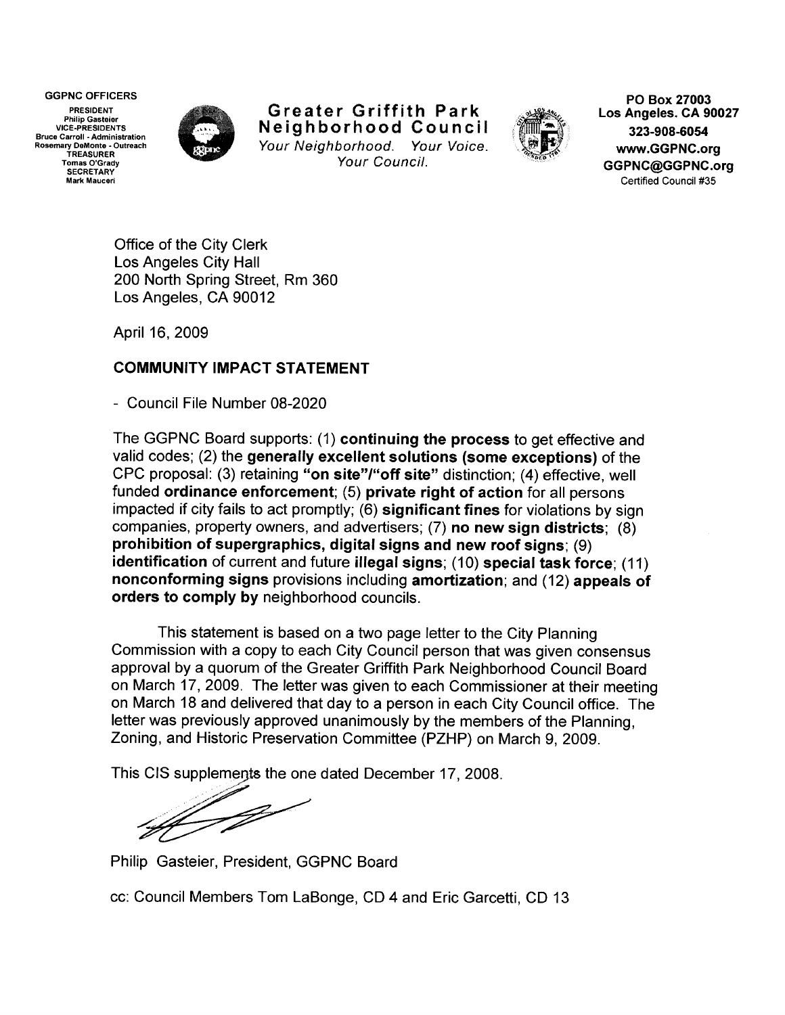GGPNC OFFICERS **PO Box 27003** 

PRESIDENT **Philip Gasteier** VICE-PRESIDENTS Bruce Carroll ·Administration Rosemary DeMonte • Outreach TREASURER Tomas O'Grady **SECRETARY** Mark Mauceri



Greater Griffith Park Neighborhood Council Your Neighborhood. Your Voice. Your Council.



Los Angeles. CA 90027 323-908-6054 www.GGPNC.org GGPNC@GGPNC.org Certified Council #35

Office of the City Clerk Los Angeles City Hall 200 North Spring Street, Rm 360 Los Angeles, CA 90012

April 16, 2009

## COMMUNITY IMPACT STATEMENT

- Council File Number 08-2020

The GGPNC Board supports: (1) continuing the process to get effective and valid codes; (2) the generally excellent solutions (some exceptions) of the CPC proposal: (3) retaining "on site"/"off site" distinction; (4) effective, well funded ordinance enforcement; (5) private right of action for all persons impacted if city fails to act promptly; (6) significant fines for violations by sign companies, property owners, and advertisers; (7) no new sign districts; (8) prohibition of supergraphics, digital signs and new roof signs; (9) identification of current and future illegal signs; (10) special task force; (11) nonconforming signs provisions including amortization; and (12) appeals of orders to comply by neighborhood councils.

This statement is based on a two page letter to the City Planning Commission with a copy to each City Council person that was given consensus approval by a quorum of the Greater Griffith Park Neighborhood Council Board on March 17, 2009. The letter was given to each Commissioner at their meeting on March 18 and delivered that day to a person in each City Council office. The letter was previously approved unanimously by the members of the Planning, Zoning, and Historic Preservation Committee (PZHP) on March 9, 2009.

This CIS supplements the one dated December 17, 2008.

 $\mathbb{Z}_{p}$ 

Philip Gasteier, President, GGPNC Board

cc: Council Members Tom LaBonge, CD 4 and Eric Garcetti, CD 13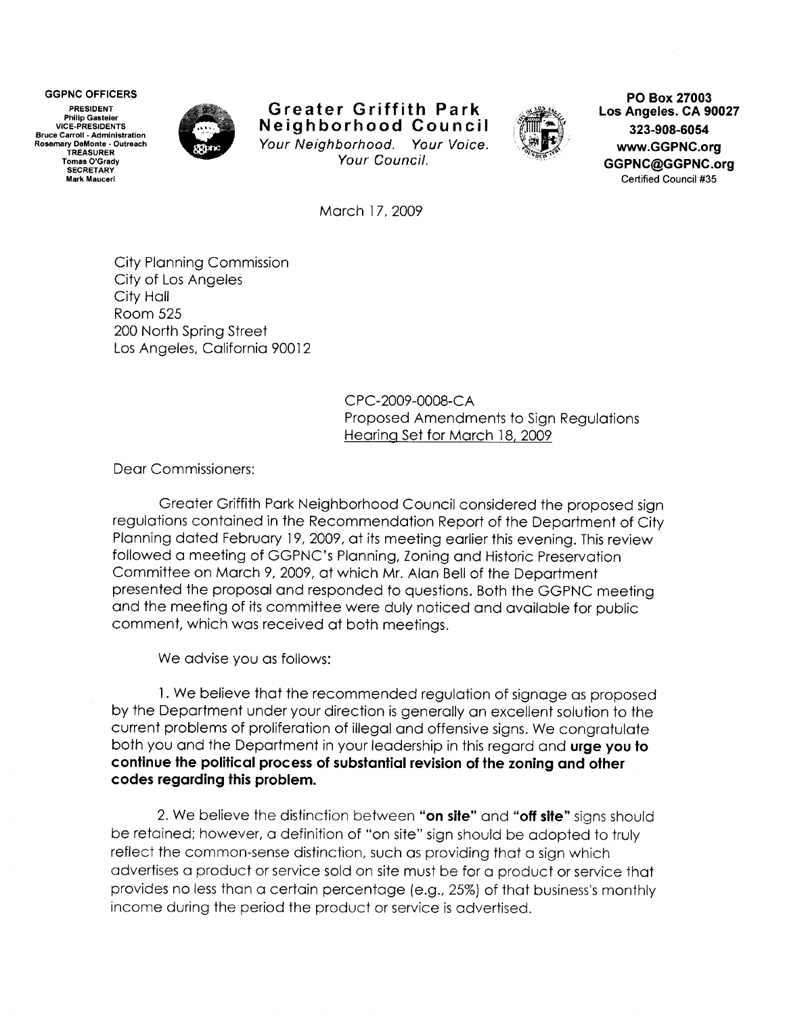PRESIDENT Philip Gasteier VICE-PRESIDENTS **Bruce Carroll -Administration**  Rosemary DeMonte - Outreach TREASURER Tomas O'Grady **SECRETARY** Mark Mauceri



### **Greater Griffith Park Neighborhood Council**  Your Neighborhood. Your Voice. Your Council.



**GGPNC OFFICERS PO Box 27003 Los Angeles. CA 90027 323-908-6054 www.GGPNC.org GGPNC@GGPNC.org**  Certified Council #35

March 17, 2009

City Planning Commission City of Los Angeles City Hall Room 525 200 North Spring Street Los Angeles, California 90012

> C PC-2009-0008-CA Proposed Amendments to Sign Regulations Hearing Set for March 18, 2009

Dear Commissioners:

Greater Griffith Park Neighborhood Council considered the proposed sign regulations contained in the Recommendation Report of the Department of City Planning dated February 19, 2009, at its meeting earlier this evening. This review followed a meeting of GGPNC's Planning, Zoning and Historic Preservation Committee on March 9, 2009, at which Mr. Alan Bell of the Department presented the proposal and responded to questions. Both the GGPNC meeting and the meeting of its committee were duly noticed and available for public comment, which was received at both meetings.

We advise you as follows:

1. We believe that the recommended regulation of signage as proposed by the Department under your direction is generally an excellent solution to the current problems of proliferation of illegal and offensive signs. We congratulate both you and the Department in your leadership in this regard and **urge you to continue the political process of substantial revision of the zoning and other codes regarding this problem.** 

2. We believe the distinction between **"on site"** and **"off site"** signs should be retained; however, a definition of "on site" sign should be adopted to truly reflect the common-sense distinction, such as providing that a sign which advertises a product or service sold on site must be for a product or service that provides no less than a certain percentage (e.g., 25%) of that business's monthly income during the period the product or service is advertised.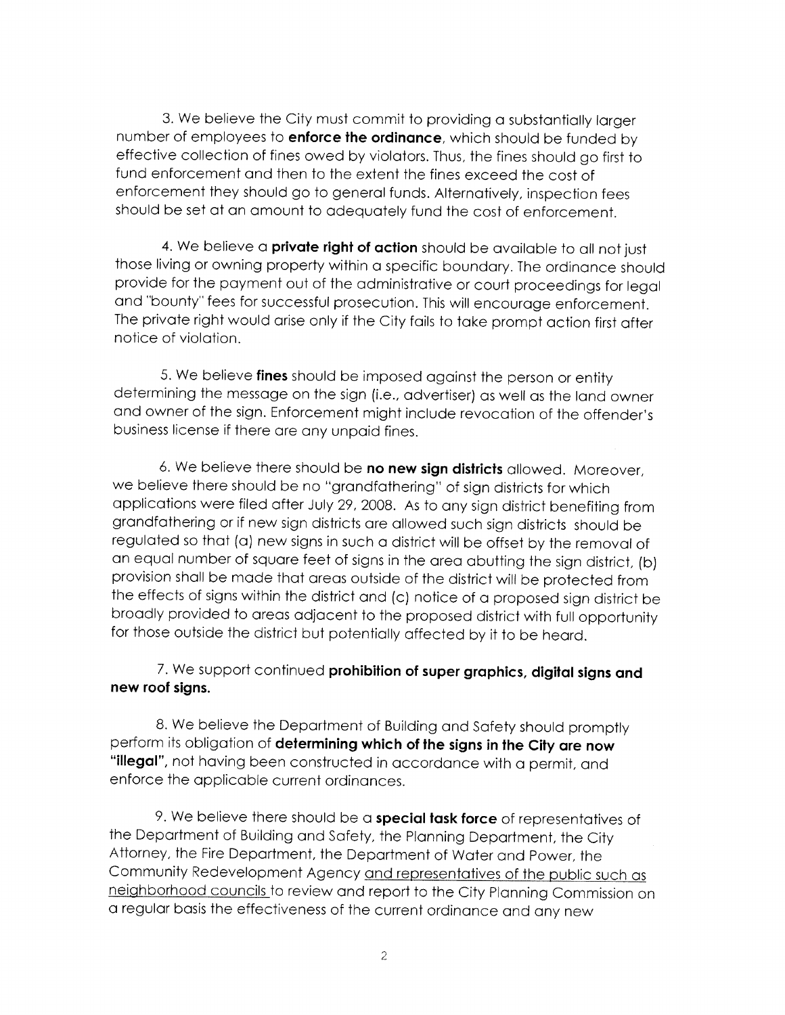3. We believe the City must commit to providing a substantially larger number of employees to **enforce the ordinance,** which should be funded by effective collection of fines owed by violators. Thus, the fines should go first to fund enforcement and then to the extent the fines exceed the cost of enforcement they should go to general funds. Alternatively, inspection fees should be set at an amount to adequately fund the cost of enforcement.

4. We believe a **private right of action** should be available to all not just those living or owning property within a specific boundary. The ordinance should provide for the payment out of the administrative or court proceedings for legal and "bounty" fees for successful prosecution. This will encourage enforcement. The private right would arise only if the City fails to take prompt action first after notice of violation.

5. We believe **fines** should be imposed against the person or entity determining the message on the sign (i.e., advertiser) as well as the land owner and owner of the sign. Enforcement might include revocation of the offender's business license if there are any unpaid fines.

6. We believe there should be **no new sign districts** allowed. Moreover, we believe there should be no "grandfathering" of sign districts for which applications were filed after July 29, 2008. As to any sign district benefiting from grandfathering or if new sign districts are allowed such sign districts should be regulated so that (a) new signs in such a district will be offset by the removal of an equal number of square feet of signs in the area abutting the sign district, (b) provision shall be made that areas outside of the district will be protected from the effects of signs within the district and (c) notice of a proposed sign district be broadly provided to areas adjacent to the proposed district with full opportunity for those outside the district but potentially affected by it to be heard.

## 7. We support continued **prohibition of super graphics, digital signs and new roof signs.**

8. We believe the Department of Building and Safety should promptly perform its obligation of **determining which of the signs in the City are now "illegal",** not having been constructed in accordance with a permit, and enforce the applicable current ordinances.

9. We believe there should be a **special task force** of representatives of the Department of Building and Safety, the Planning Department, the City Attorney, the Fire Department, the Department of Water and Power, the Community Redevelopment Agency and representatives of the public such as neighborhood councils to review and report to the City Planning Commission on a regular basis the effectiveness of the current ordinance and any new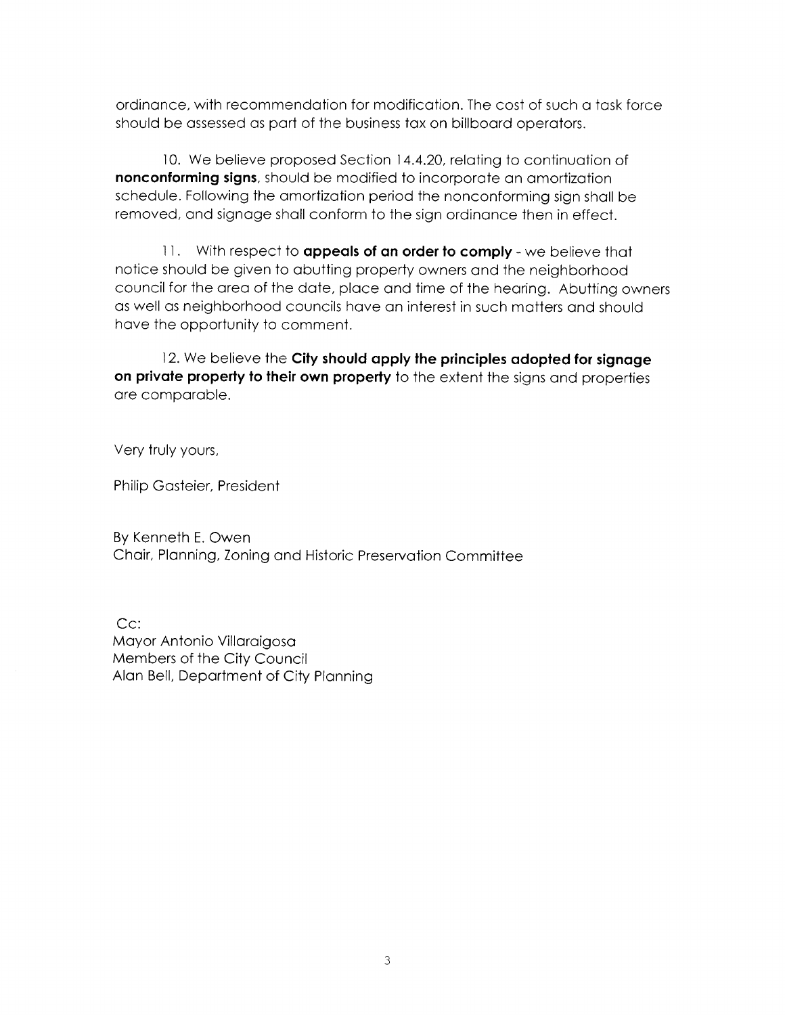ordinance, with recommendation for modification. The cost of such a task force should be assessed as part of the business tax on billboard operators.

10. We believe proposed Section 14.4.20, relating to continuation of **nonconforming signs,** should be modified to incorporate an amortization schedule. Following the amortization period the nonconforming sign shall be removed, and signage shall conform to the sign ordinance then in effect.

11 . With respect to **appeals of an order to comply** - we believe that notice should be given to abutting property owners and the neighborhood council for the area of the date, place and time of the hearing. Abutting owners as well as neighborhood councils have an interest in such matters and should have the opportunity to comment.

12. We believe the **City should apply the principles adopted for signage on private property to their own property** to the extent the signs and properties are comparable.

Very truly yours,

Philip Gasteier, President

By Kenneth E. Owen Chair, Planning, Zoning and Historic Preservation Committee

Cc: Mayor Antonio Villaraigosa Members of the City Council Alan Bell, Department of City Planning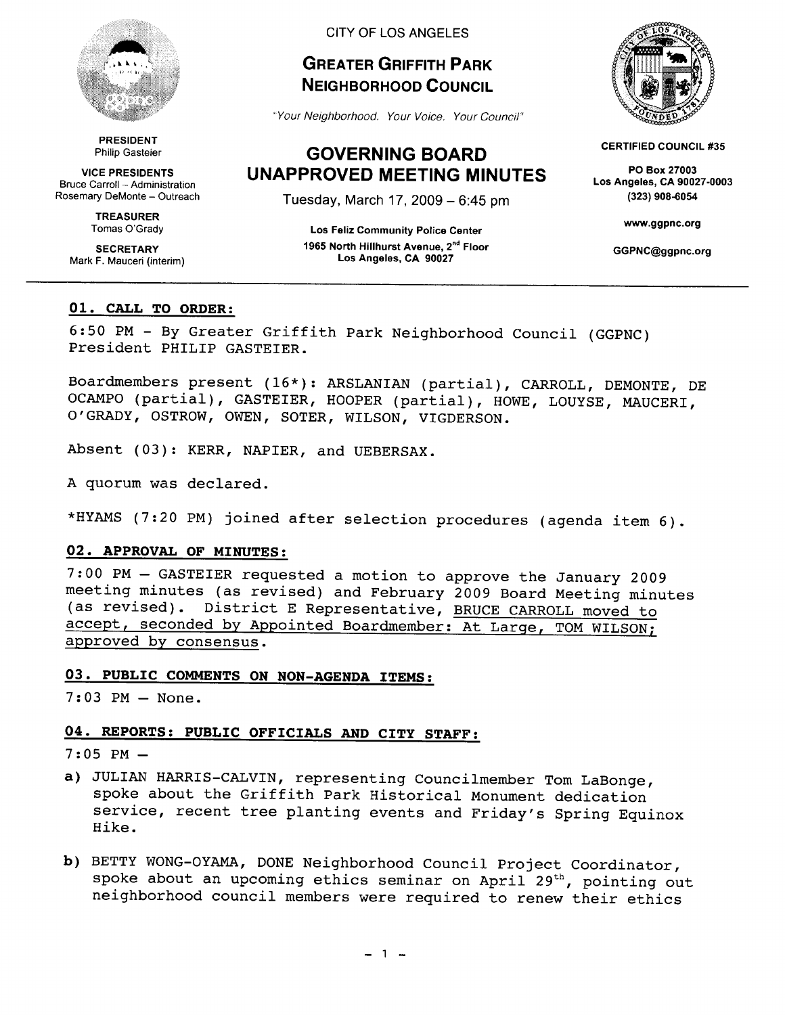

PRESIDENT Philip Gasteier

VICE PRESIDENTS Bruce Carroll - Administration Rosemary DeMonte- Outreach

> TREASURER Tomas O'Grady

**SECRETARY** Mark F. Mauceri (interim)

### CITY OF LOS ANGELES

## **GREATER GRIFFITH PARK NEIGHBORHOOD COUNCIL**

"Your Neighborhood. Your Voice. Your Council"

## **GOVERNING BOARD UNAPPROVED MEETING MINUTES**

Tuesday, March 17, 2009-6:45 pm

Los Feliz Community Police Center 1965 North Hillhurst Avenue, 2"d Floor Los Angeles, CA 90027



CERTIFIED COUNCIL #35

PO Box 27003 Los Angeles, CA 90027-0003 (323) 908-6054

www.ggpnc.org

GGPNC@ggpnc.org

### **01. CALL TO ORDER:**

6:50 PM - By Greater Griffith Park Neighborhood Council (GGPNC) President PHILIP GASTEIER.

Boardmembers present (16\*): ARSLANIAN (partial), CARROLL, DEMONTE, DE OCAMPO (partial), GASTEIER, HOOPER (partial), HOWE, LOUYSE, MAUCERI, O'GRADY, OSTROW, OWEN, SOTER, WILSON, VIGDERSON.

Absent (03): KERR, NAPIER, and UEBERSAX.

A quorum was declared.

\*HYAMS (7:20PM) joined after selection procedures (agenda item 6).

### **02. APPROVAL OF MINUTES:**

7:00 PM- GASTEIER requested a motion to approve the January <sup>2009</sup> meeting minutes (as revised) and February 2009 Board Meeting minutes (as revised). District E Representative, BRUCE CARROLL moved to accept, seconded by Appointed Boardmember: At Large, TOM WILSON; approved by consensus.

## **03. PUBLIC COMMENTS ON NON-AGENDA ITEMS:**

7:03 PM- None.

### **04. REPORTS: PUBLIC OFFICIALS AND CITY STAFF:**

 $7:05$  PM  $-$ 

- a) JULIAN HARRIS-CALVIN, representing Councilmember Tom LaBonge, spoke about the Griffith Park Historical Monument dedication service, recent tree planting events and Friday's Spring Equinox Hike.
- **b)** BETTY WONG-OYAMA, DONE Neighborhood Council Project Coordinator, spoke about an upcoming ethics seminar on April 29<sup>th</sup>, pointing out neighborhood council members were required to renew their ethics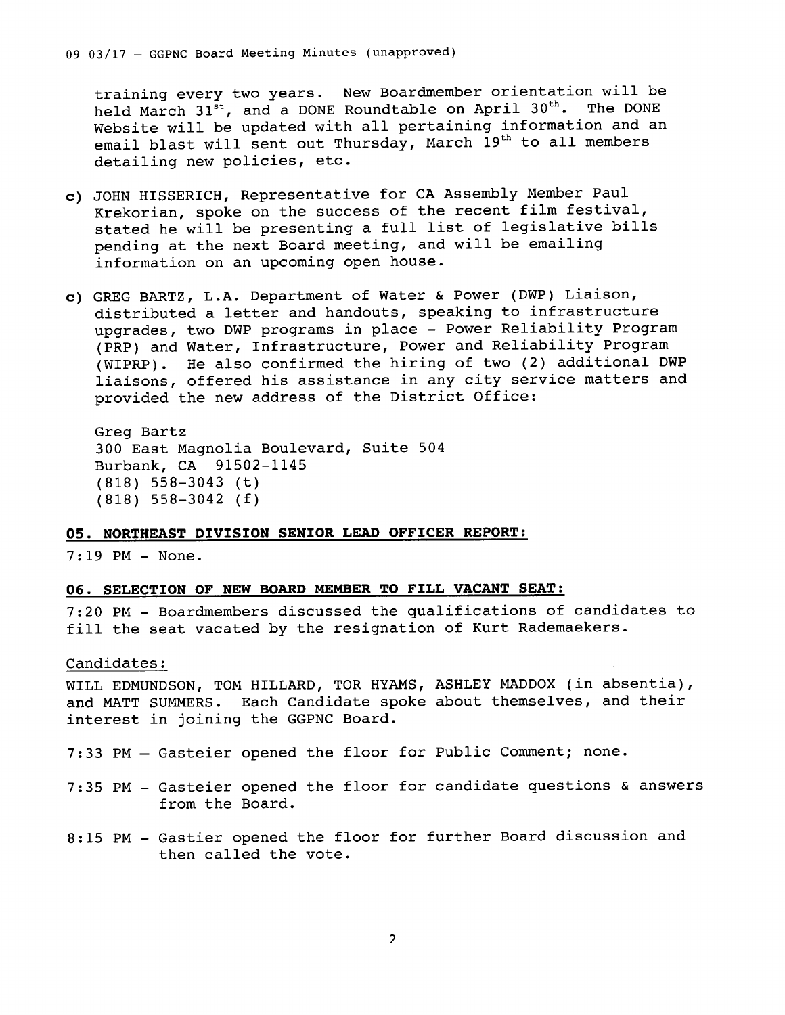training every two years. New Boardmember orientation will be held March 31<sup>st</sup>, and a DONE Roundtable on April 30<sup>th</sup>. The DONE Website will be updated with all pertaining information and an email blast will sent out Thursday, March  $19<sup>th</sup>$  to all members detailing new policies, etc.

- **c)** JOHN HISSERICH, Representative for CA Assembly Member Paul Krekorian, spoke on the success of the recent film festival, stated he will be presenting a full list of legislative bills pending at the next Board meeting, and will be emailing information on an upcoming open house.
- c) GREG BARTZ, L.A. Department of Water & Power (DWP) Liaison, distributed a letter and handouts, speaking to infrastructure upgrades, two DWP programs in place - Power Reliability Program (PRP) and Water, Infrastructure, Power and Reliability Program (WIPRP). He also confirmed the hiring of two (2) additional DWP liaisons, offered his assistance in any city service matters and provided the new address of the District Office:

```
Greg Bartz 
300 East Magnolia Boulevard, Suite 504 
Burbank, CA 91502-1145 
(818) 558-3043 (t) 
(818) 558-3042 (f)
```
### **OS. NORTHEAST DIVISION SENIOR LEAD OFFICER REPORT:**

7:19 PM- None.

### **06. SELECTION OF NEW BOARD MEMBER TO FILL VACANT SEAT:**

7:20 PM - Boardmembers discussed the qualifications of candidates to fill the seat vacated by the resignation of Kurt Rademaekers.

### Candidates:

WILL EDMUNDSON, TOM HILLARD, TOR HYAMS, ASHLEY MADDOX (in absentia), and MATT SUMMERS. Each Candidate spoke about themselves, and their interest in joining the GGPNC Board.

- 7:33 PM Gasteier opened the floor for Public Comment; none.
- 7:35 PM- Gasteier opened the floor for candidate questions & answers from the Board.
- 8:15 PM Gastier opened the floor for further Board discussion and then called the vote.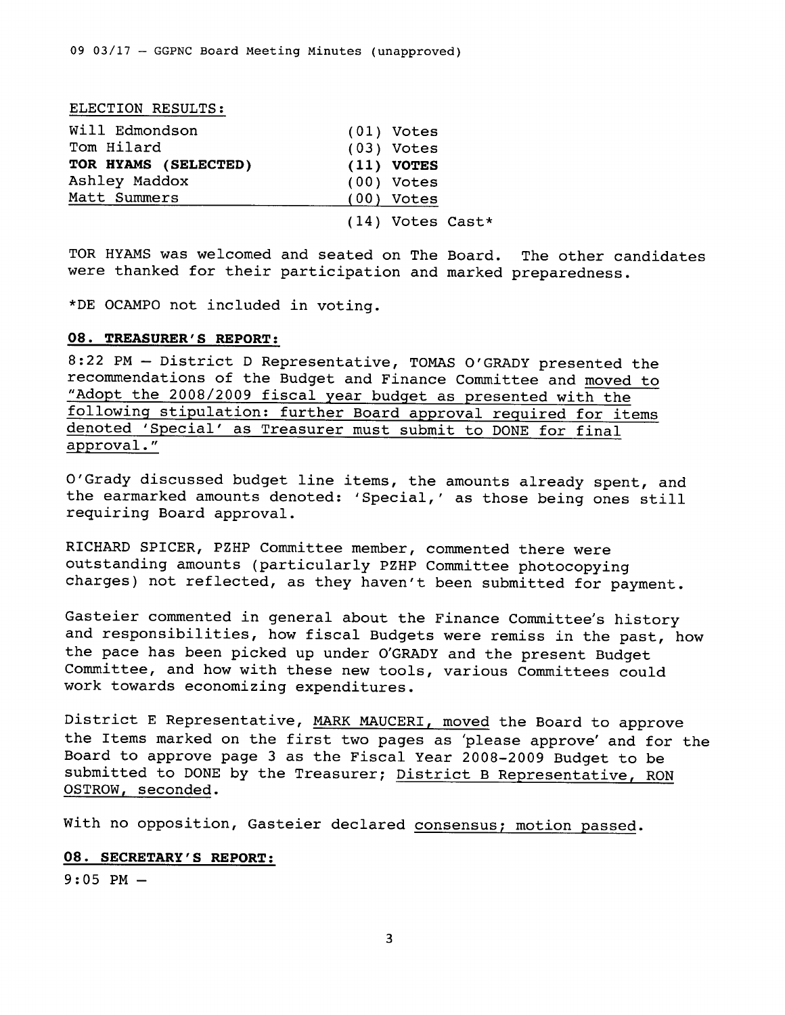#### ELECTION RESULTS:

| Will Edmondson       | $(01)$ Votes       |
|----------------------|--------------------|
| Tom Hilard           | $(03)$ Votes       |
| TOR HYAMS (SELECTED) | $(11)$ VOTES       |
| Ashley Maddox        | $(00)$ Votes       |
| Matt Summers         | $(00)$ Votes       |
|                      | $(14)$ Votes Cast* |

TOR HYAMS was welcomed and seated on The Board. The other candidates were thanked for their participation and marked preparedness.

\*DE OCAMPO not included in voting.

### **08. TREASURER'S REPORT:**

8:22 PM- District D Representative, TOMAS O'GRADY presented the recommendations of the Budget and Finance Committee and moved to "Adopt the 2008/2009 fiscal year budget as presented with the following stipulation: further Board approval required for items denoted 'Special' as Treasurer must submit to DONE for final approval."

O'Grady discussed budget line items, the amounts already spent, and the earmarked amounts denoted: 'Special,' as those being ones still requiring Board approval.

RICHARD SPICER, PZHP Committee member, commented there were outstanding amounts (particularly PZHP Committee photocopying charges) not reflected, as they haven't been submitted for payment.

Gasteier commented in general about the Finance Committee's history and responsibilities, how fiscal Budgets were remiss in the past, how the pace has been picked up under O'GRADY and the present Budget Committee, and how with these new tools, various Committees could work towards economizing expenditures.

District E Representative, MARK MAUCERI, moved the Board to approve the Items marked on the first two pages as 'please approve' and for the Board to approve page 3 as the Fiscal Year 2008-2009 Budget to be submitted to DONE by the Treasurer; District B Representative, RON OSTROW, seconded.

With no opposition, Gasteier declared consensus; motion passed.

### 08. **SECRETARY'S REPORT:**

 $9:05$  PM  $-$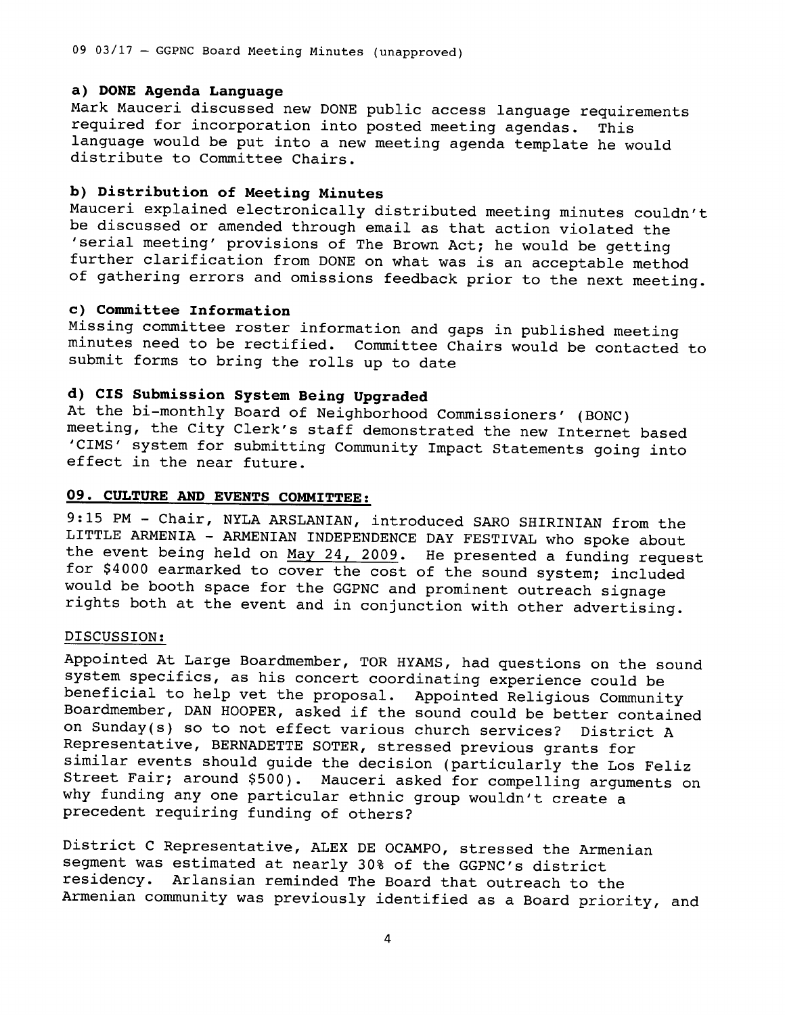09 03/17 - GGPNC Board Meeting Minutes (unapproved)

### **a) DONE Agenda Language**

Mark Mauceri discussed new DONE public access language requirements required for incorporation into posted meeting agendas. This language would be put into a new meeting agenda template he would distribute to Committee Chairs.

## **b) Distribution of Meeting Minutes**

Mauceri explained electronically distributed meeting minutes couldn't be discussed or amended through email as that action violated the 'serial meeting' provisions of The Brown Act; he would be getting further clarification from DONE on what was is an acceptable method of gathering errors and omissions feedback prior to the next meeting.

### **c) Committee Information**

Missing committee roster information and gaps in published meeting minutes need to be rectified. Committee Chairs would be contacted to submit forms to bring the rolls up to date

## **d) CIS Submission System Being Upgraded**

At the bi-monthly Board of Neighborhood Commissioners' (BONC) meeting, the City Clerk's staff demonstrated the new Internet based 'CIMS' system for submitting Community Impact Statements going into effect in the near future.

## **09. CULTURE AND EVENTS COMMITTEE:**

9:15 PM - Chair, NYLA ARSLANIAN, introduced SARO SHIRINIAN from the LITTLE ARMENIA - ARMENIAN INDEPENDENCE DAY FESTIVAL who spoke about the event being held on May 24, 2009. He presented a funding request for \$4000 earmarked to cover the cost of the sound system; included would be booth space for the GGPNC and prominent outreach signage rights both at the event and in conjunction with other advertising.

### DISCUSSION:

Appointed At Large Boardmember, TOR HYAMS, had questions on the sound system specifics, as his concert coordinating experience could be beneficial to help vet the proposal. Appointed Religious Community Boardmember, DAN HOOPER, asked if the sound could be better contained on Sunday(s) so to not effect various church services? District <sup>A</sup> Representative, BERNADETTE SOTER, stressed previous grants for similar events should guide the decision (particularly the Los Feliz Street Fair; around \$500). Mauceri asked for compelling arguments on why funding any one particular ethnic group wouldn't create <sup>a</sup> precedent requiring funding of others?

District C Representative, ALEX DE OCAMPO, stressed the Armenian segment was estimated at nearly 30% of the GGPNC's district residency. Arlansian reminded The Board that outreach to the Armenian community was previously identified as a Board priority, and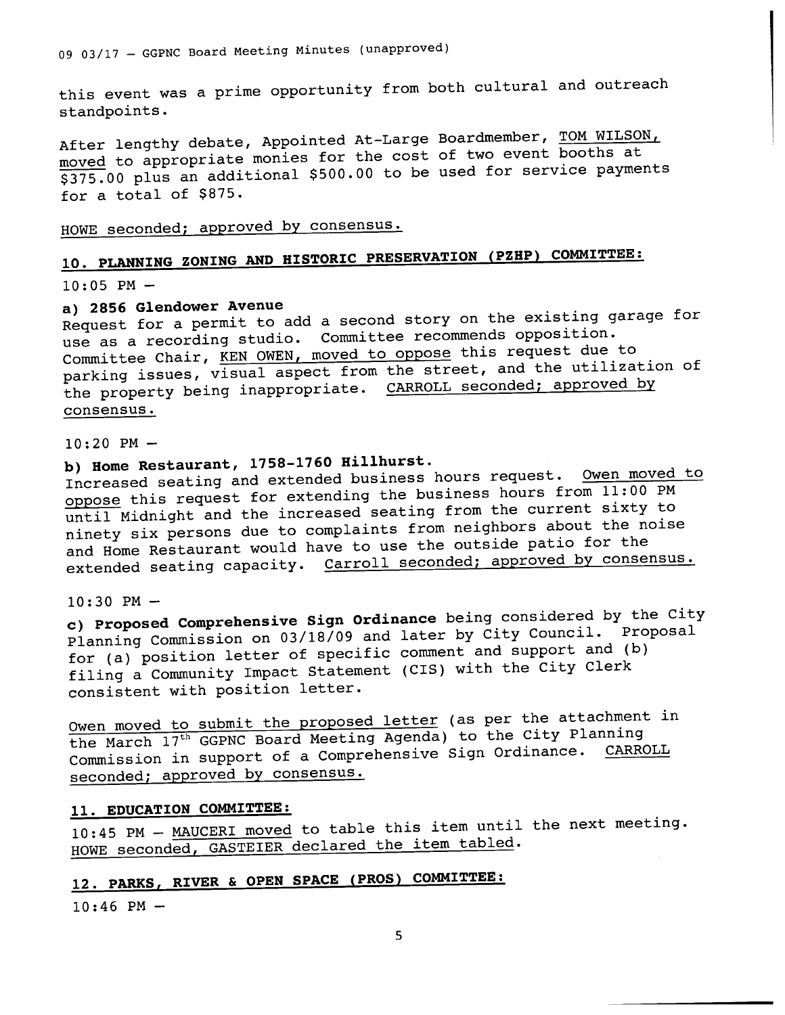this event was a prime opportunity from both cultural and outreach standpoints.

After lengthy debate, Appointed At-Large Boardmember, TOM WILSON, moved to appropriate monies for the cost of two event booths at \$375.00 plus an additional \$500.00 to be used for service payments for a total of \$875.

HOWE seconded; approved by consensus.

# **10. PLANNING ZONING AND HISTORIC PRESERVATION (PZHP) COMMITTEE:**

 $10:05$  PM  $-$ 

## **a) 2856 G1endower Avenue**

Request for a permit to add a second story on the existing garage for use as <sup>a</sup>recording studio. Committee recommends opposition. Committee Chair, KEN OWEN, moved to oppose this request due to parking issues, visual aspect from the street, and the utilization of the property being inappropriate. CARROLL seconded; approved by consensus.

 $10:20$  PM  $-$ 

# **b) Home Restaurant, 1758-1760 Hi1lhurst.**

Increased seating and extended business hours request. Owen moved to oppose this request for extending the business hours from 11:00 PM until Midnight and the increased seating from the current sixty to ninety six persons due to complaints from neighbors about the noise and Home Restaurant would have to use the outside patio for the extended seating capacity. Carroll seconded; approved by consensus.

 $10:30$  PM  $-$ 

**c) Proposed Comprehensive Sign Ordinance** being considered by the City Planning Commission on 03/18/09 and later by City Council. Proposal for (a) position letter of specific comment and support and (b) filing a Community Impact Statement (CIS) with the City Clerk consistent with position letter.

Owen moved to submit the proposed letter (as per the attachment in the March  $17<sup>th</sup>$  GGPNC Board Meeting Agenda) to the City Planning Commission in support of a Comprehensive Sign Ordinance. CARROLL seconded; approved by consensus.

## **11. EDUCATION COMMITTEE:**

10:45 PM - MAUCERI moved to table this item until the next meeting. HOWE seconded, GASTEIER declared the item tabled.

# **12. PARKS, RIVER & OPEN SPACE (PROS) COMMITTEE:**

 $10:46$  PM -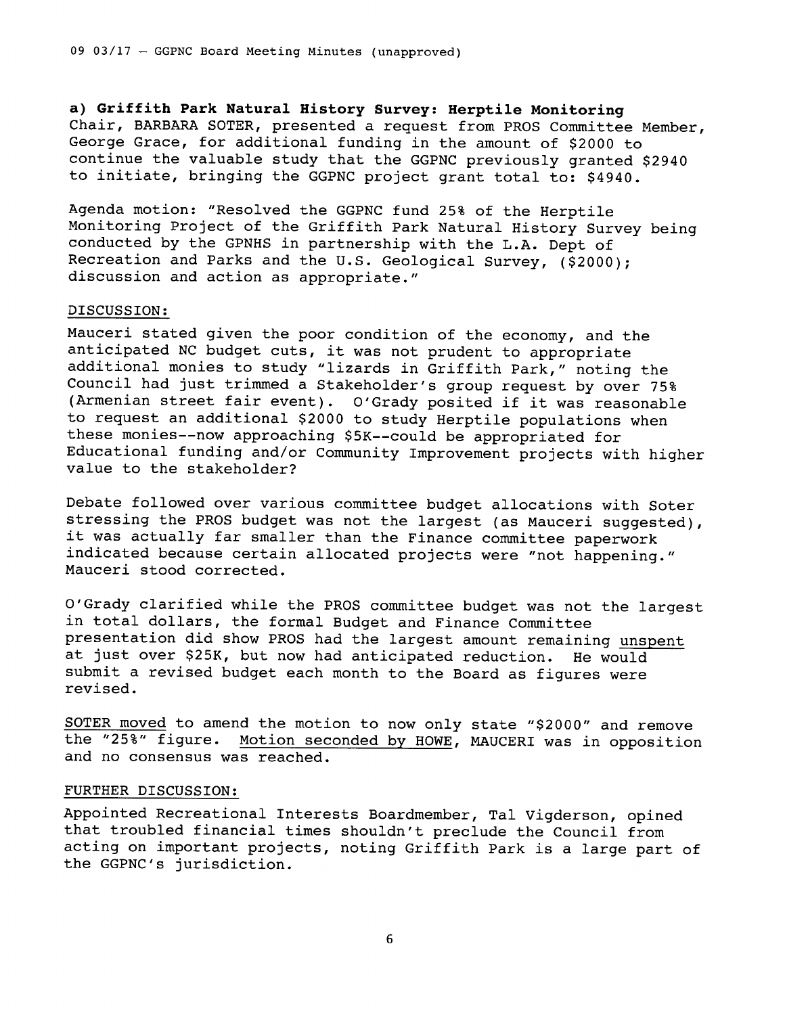**a) Griffith Park Natural History Survey: Herptile Monitoring**  Chair, BARBARA SOTER, presented a request from PROS Committee Member, George Grace, for additional funding in the amount of \$2000 to continue the valuable study that the GGPNC previously granted \$2940 to initiate, bringing the GGPNC project grant total to: \$4940.

Agenda motion: "Resolved the GGPNC fund 25% of the Herptile Monitoring Project of the Griffith Park Natural History Survey being conducted by the GPNHS in partnership with the L.A. Dept of Recreation and Parks and the U.S. Geological Survey, (\$2000); discussion and action as appropriate."

### DISCUSSION:

Mauceri stated given the poor condition of the economy, and the anticipated NC budget cuts, it was not prudent to appropriate additional monies to study "lizards in Griffith Park," noting the Council had just trimmed a Stakeholder's group request by over 75% (Armenian street fair event). O'Grady posited if it was reasonable to request an additional \$2000 to study Herptile populations when these monies--now approaching \$5K--could be appropriated for Educational funding and/or Community Improvement projects with higher value to the stakeholder?

Debate followed over various committee budget allocations with Soter stressing the PROS budget was not the largest (as Mauceri suggested), it was actually far smaller than the Finance committee paperwork indicated because certain allocated projects were "not happening." Mauceri stood corrected.

O'Grady clarified while the PROS committee budget was not the largest in total dollars, the formal Budget and Finance Committee presentation did show PROS had the largest amount remaining unspent at just over \$25K, but now had anticipated reduction. He would submit a revised budget each month to the Board as figures were revised.

SOTER moved to amend the motion to now only state "\$2000" and remove the "25%" figure. Motion seconded by HOWE, MAUCERI was in opposition and no consensus was reached.

### FURTHER DISCUSSION:

Appointed Recreational Interests Boardmember, Tal Vigderson, opined that troubled financial times shouldn't preclude the Council from acting on important projects, noting Griffith Park is a large part of the GGPNC's jurisdiction.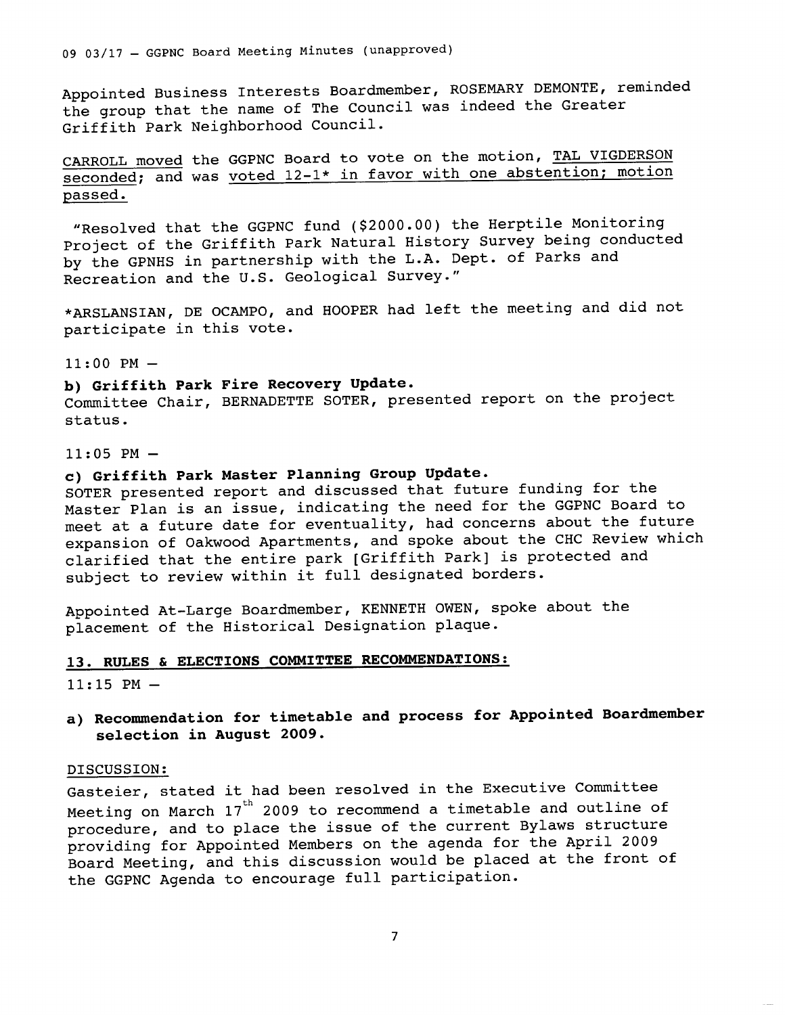Appointed Business Interests Boardmember, ROSEMARY DEMONTE, reminded the group that the name of The Council was indeed the Greater Griffith Park Neighborhood Council.

CARROLL moved the GGPNC Board to vote on the motion, TAL VIGDERSON seconded; and was voted 12-1\* in favor with one abstention; motion passed.

"Resolved that the GGPNC fund (\$2000.00) the Herptile Monitoring Project of the Griffith Park Natural History Survey being conducted by the GPNHS in partnership with the L.A. Dept. of Parks and Recreation and the U.S. Geological Survey."

\*ARSLANSIAN, DE OCAMPO, and HOOPER had left the meeting and did not participate in this vote.

### $11:00$  PM  $-$

## **b) Griffith Park Fire Recovery Update.**

Committee Chair, BERNADETTE SOTER, presented report on the project status.

#### $11:05$  PM  $-$

## **c) Griffith Park Master Planning Group Update.**

SOTER presented report and discussed that future funding for the Master Plan is an issue, indicating the need for the GGPNC Board to meet at a future date for eventuality, had concerns about the future expansion of Oakwood Apartments, and spoke about the CHC Review which clarified that the entire park [Griffith Park] is protected and subject to review within it full designated borders.

Appointed At-Large Boardmember, KENNETH OWEN, spoke about the <sup>p</sup>lacement of the Historical Designation plaque.

## **13. RULES & ELECTIONS COMMITTEE RECOMMENDATIONS:**

 $11:15$  PM  $-$ 

**a) Recommendation for timetable and process for Appointed Boardmember selection in August 2009.** 

### DISCUSSION:

Gasteier, stated it had been resolved in the Executive Committee Meeting on March  $17^{\text{th}}$  2009 to recommend a timetable and outline of procedure, and to place the issue of the current Bylaws structure providing for Appointed Members on the agenda for the April <sup>2009</sup> Board Meeting, and this discussion would be placed at the front of the GGPNC Agenda to encourage full participation.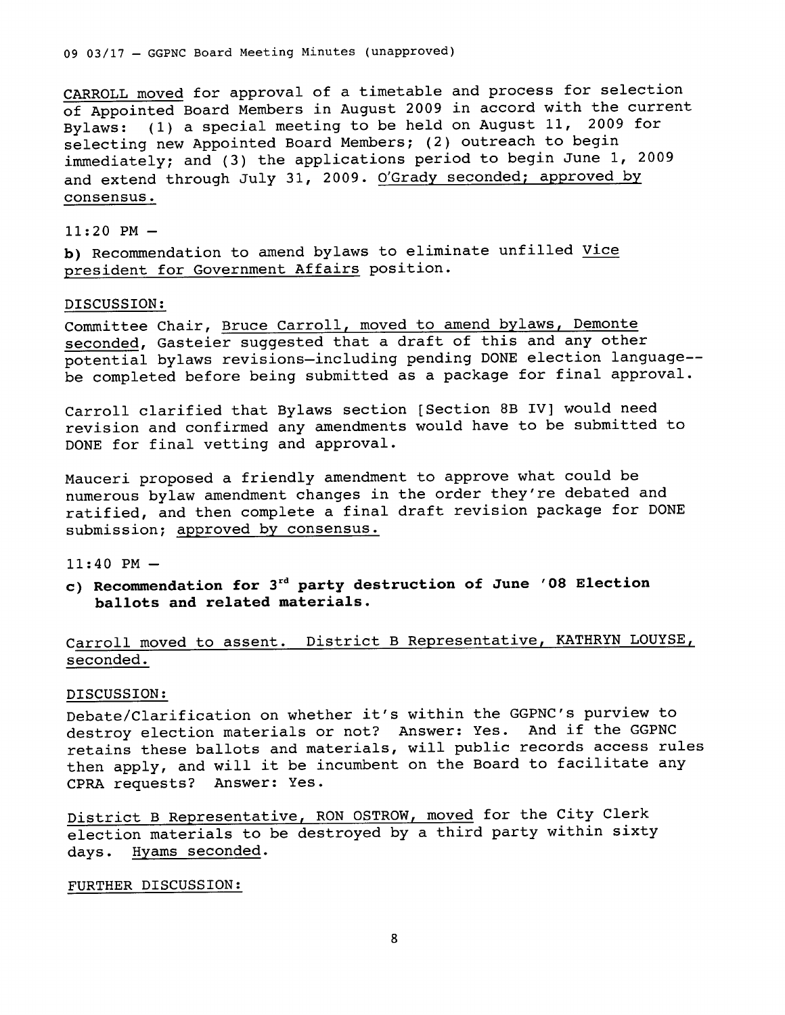CARROLL moved for approval of a timetable and process for selection of Appointed Board Members in August 2009 in accord with the current Bylaws: (1) a special meeting to be held on August 11, 2009 for selecting new Appointed Board Members; (2) outreach to begin immediately; and (3) the applications period to begin June 1, <sup>2009</sup> and extend through July 31, 2009. *O'Grady* seconded; approved by consensus.

### $11:20$  PM  $-$

**b)** Recommendation to amend bylaws to eliminate unfilled Vice president for Government Affairs position.

### DISCUSSION:

Committee Chair, Bruce Carroll, moved to amend bylaws, Demonte seconded, Gasteier suggested that a draft of this and any other potential bylaws revisions-including pending DONE election language- be completed before being submitted as a package for final approval.

Carroll clarified that Bylaws section [Section 8B IV] would need revision and confirmed any amendments would have to be submitted to DONE for final vetting and approval.

Mauceri proposed a friendly amendment to approve what could be numerous bylaw amendment changes in the order they're debated and ratified, and then complete a final draft revision package for DONE submission; approved by consensus.

### 11:40 PM-

**c) Recommendation for** 3rd **party destruction of June '08 Election ballots and related materials.** 

## Carroll moved to assent. District B Representative, KATHRYN LOUYSE, seconded.

### DISCUSSION:

Debate/Clarification on whether it's within the GGPNC's purview to destroy election materials or not? Answer: Yes. And if the GGPNC retains these ballots and materials, will public records access rules then apply, and will it be incumbent on the Board to facilitate any CPRA requests? Answer: Yes.

District B Representative, RON OSTROW, moved for the City Clerk election materials to be destroyed by a third party within sixty days. Hyams seconded.

### FURTHER DISCUSSION: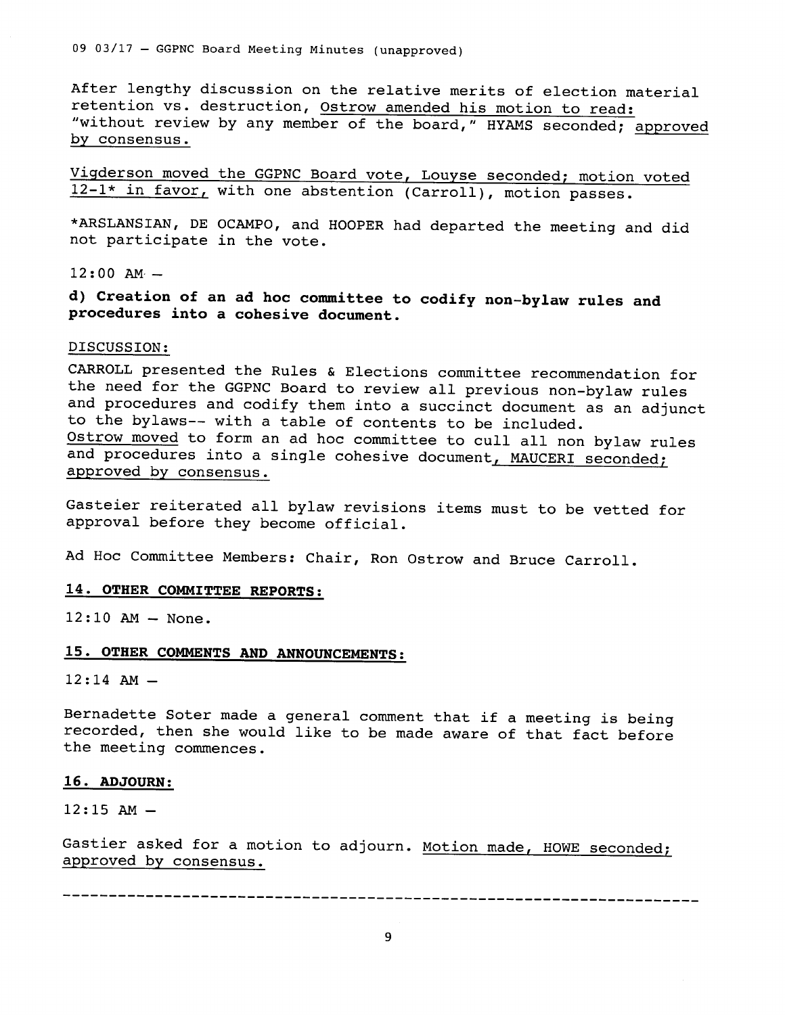09 03/17 - GGPNC Board Meeting Minutes (unapproved)

After lengthy discussion on the relative merits of election material retention vs. destruction, Ostrow amended his motion to read: "without review by any member of the board," HYAMS seconded; approved by consensus.

Vigderson moved the GGPNC Board vote, Louyse seconded; motion voted 12-1\* in favor, with one abstention (Carroll), motion passes.

\*ARSLANSIAN, DE OCAMPO, and HOOPER had departed the meeting and did not participate in the vote.

12:00 AM·-

**d) Creation of an ad hoc committee to codify non-bylaw rules and procedures into a cohesive document.** 

### DISCUSSION:

CARROLL presented the Rules & Elections committee recommendation for the need for the GGPNC Board to review all previous non-bylaw rules and procedures and codify them into a succinct document as an adjunct to the bylaws-- with a table of contents to be included. Ostrow moved to form an ad hoc committee to cull all non bylaw rules and procedures into a single cohesive document, MAUCERI seconded; approved by consensus.

Gasteier reiterated all bylaw revisions items must to be vetted for approval before they become official.

Ad Hoc Committee Members: Chair, Ron Ostrow and Bruce Carroll.

### **14. OTHER COMMITTEE REPORTS:**

12:10 AM- None.

### **15. OTHER COMMENTS AND ANNOUNCEMENTS:**

12:14 AM-

Bernadette Soter made a general comment that if a meeting is being recorded, then she would like to be made aware of that fact before the meeting commences.

### **16. ADJOURN:**

 $12:15$  AM  $-$ 

Gastier asked for a motion to adjourn. Motion made, HOWE seconded; approved by consensus.